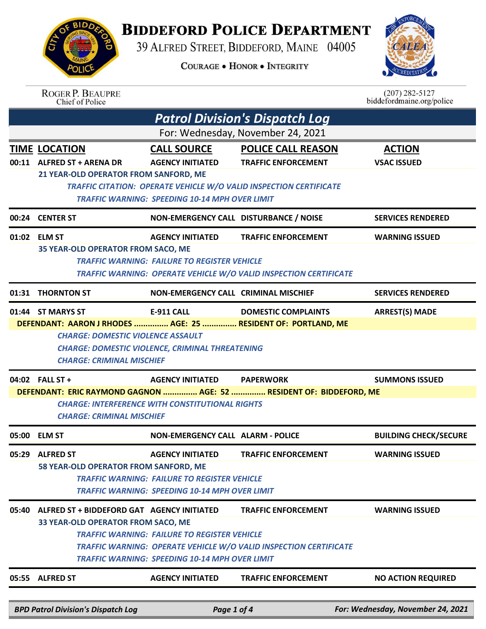## **BIDDEFORD POLICE DEPARTMENT**

39 ALFRED STREET, BIDDEFORD, MAINE 04005

**COURAGE . HONOR . INTEGRITY** 



| 05:55 ALFRED ST |                                                                                                                                                                                                                              |                                                                                                              | <b>TRAFFIC ENFORCEMENT</b>                                                                      | <b>NO ACTION REQUIRED</b>                     |  |  |
|-----------------|------------------------------------------------------------------------------------------------------------------------------------------------------------------------------------------------------------------------------|--------------------------------------------------------------------------------------------------------------|-------------------------------------------------------------------------------------------------|-----------------------------------------------|--|--|
|                 |                                                                                                                                                                                                                              | <b>AGENCY INITIATED</b>                                                                                      |                                                                                                 |                                               |  |  |
|                 | 33 YEAR-OLD OPERATOR FROM SACO, ME                                                                                                                                                                                           | <b>TRAFFIC WARNING: FAILURE TO REGISTER VEHICLE</b><br><b>TRAFFIC WARNING: SPEEDING 10-14 MPH OVER LIMIT</b> | TRAFFIC WARNING: OPERATE VEHICLE W/O VALID INSPECTION CERTIFICATE                               |                                               |  |  |
| 05:40           | ALFRED ST + BIDDEFORD GAT AGENCY INITIATED                                                                                                                                                                                   | <b>TRAFFIC WARNING: FAILURE TO REGISTER VEHICLE</b><br><b>TRAFFIC WARNING: SPEEDING 10-14 MPH OVER LIMIT</b> | <b>TRAFFIC ENFORCEMENT</b>                                                                      | <b>WARNING ISSUED</b>                         |  |  |
| 05:29           | <b>ALFRED ST</b><br>58 YEAR-OLD OPERATOR FROM SANFORD, ME                                                                                                                                                                    | <b>AGENCY INITIATED</b>                                                                                      | <b>TRAFFIC ENFORCEMENT</b>                                                                      | <b>WARNING ISSUED</b>                         |  |  |
|                 | 05:00 ELM ST                                                                                                                                                                                                                 | <b>NON-EMERGENCY CALL ALARM - POLICE</b>                                                                     |                                                                                                 | <b>BUILDING CHECK/SECURE</b>                  |  |  |
|                 | 04:02 FALL ST +<br><b>CHARGE: INTERFERENCE WITH CONSTITUTIONAL RIGHTS</b><br><b>CHARGE: CRIMINAL MISCHIEF</b>                                                                                                                | <b>AGENCY INITIATED</b>                                                                                      | <b>PAPERWORK</b><br>DEFENDANT: ERIC RAYMOND GAGNON  AGE: 52  RESIDENT OF: BIDDEFORD, ME         | <b>SUMMONS ISSUED</b>                         |  |  |
|                 | 01:44 ST MARYS ST<br>DEFENDANT: AARON J RHODES  AGE: 25  RESIDENT OF: PORTLAND, ME<br><b>CHARGE: DOMESTIC VIOLENCE ASSAULT</b><br><b>CHARGE: DOMESTIC VIOLENCE, CRIMINAL THREATENING</b><br><b>CHARGE: CRIMINAL MISCHIEF</b> | <b>E-911 CALL</b>                                                                                            | <b>DOMESTIC COMPLAINTS</b>                                                                      | <b>ARREST(S) MADE</b>                         |  |  |
| 01:31           | <b>THORNTON ST</b>                                                                                                                                                                                                           | NON-EMERGENCY CALL CRIMINAL MISCHIEF                                                                         |                                                                                                 | <b>SERVICES RENDERED</b>                      |  |  |
|                 | 01:02 ELM ST<br><b>35 YEAR-OLD OPERATOR FROM SACO, ME</b>                                                                                                                                                                    | <b>AGENCY INITIATED</b><br><b>TRAFFIC WARNING: FAILURE TO REGISTER VEHICLE</b>                               | <b>TRAFFIC ENFORCEMENT</b><br>TRAFFIC WARNING: OPERATE VEHICLE W/O VALID INSPECTION CERTIFICATE | <b>WARNING ISSUED</b>                         |  |  |
|                 | 00:24 CENTER ST                                                                                                                                                                                                              | NON-EMERGENCY CALL DISTURBANCE / NOISE                                                                       |                                                                                                 | <b>SERVICES RENDERED</b>                      |  |  |
|                 |                                                                                                                                                                                                                              | <b>TRAFFIC WARNING: SPEEDING 10-14 MPH OVER LIMIT</b>                                                        | <b>TRAFFIC CITATION: OPERATE VEHICLE W/O VALID INSPECTION CERTIFICATE</b>                       |                                               |  |  |
|                 | 00:11 ALFRED ST + ARENA DR<br>21 YEAR-OLD OPERATOR FROM SANFORD, ME                                                                                                                                                          | <b>AGENCY INITIATED</b>                                                                                      | <b>TRAFFIC ENFORCEMENT</b>                                                                      | <b>VSAC ISSUED</b>                            |  |  |
|                 | <b>TIME LOCATION</b>                                                                                                                                                                                                         | <b>CALL SOURCE</b>                                                                                           | <b>POLICE CALL REASON</b>                                                                       | <b>ACTION</b>                                 |  |  |
|                 | <b>Patrol Division's Dispatch Log</b><br>For: Wednesday, November 24, 2021                                                                                                                                                   |                                                                                                              |                                                                                                 |                                               |  |  |
|                 |                                                                                                                                                                                                                              |                                                                                                              |                                                                                                 |                                               |  |  |
|                 | <b>ROGER P. BEAUPRE</b><br>Chief of Police                                                                                                                                                                                   |                                                                                                              |                                                                                                 | $(207)$ 282-5127<br>biddefordmaine.org/police |  |  |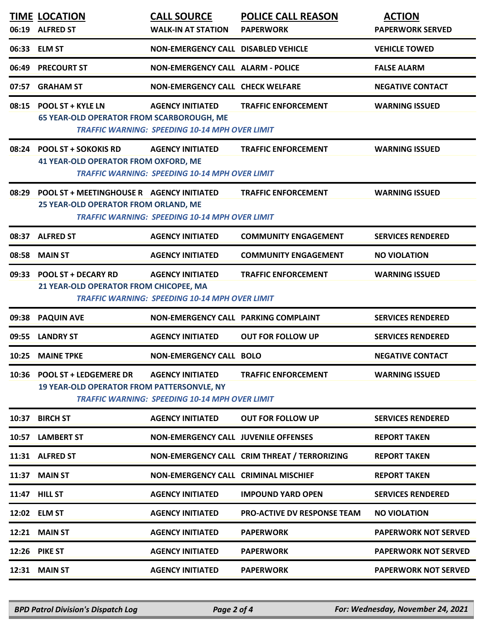|       | <b>TIME LOCATION</b>                                                               | <b>CALL SOURCE</b>                                                               | <b>POLICE CALL REASON</b>                    | <b>ACTION</b>               |
|-------|------------------------------------------------------------------------------------|----------------------------------------------------------------------------------|----------------------------------------------|-----------------------------|
|       | 06:19 ALFRED ST                                                                    | <b>WALK-IN AT STATION</b>                                                        | <b>PAPERWORK</b>                             | <b>PAPERWORK SERVED</b>     |
|       | 06:33 ELM ST                                                                       | <b>NON-EMERGENCY CALL DISABLED VEHICLE</b>                                       |                                              | <b>VEHICLE TOWED</b>        |
| 06:49 | <b>PRECOURT ST</b>                                                                 | <b>NON-EMERGENCY CALL ALARM - POLICE</b>                                         |                                              | <b>FALSE ALARM</b>          |
| 07:57 | <b>GRAHAM ST</b>                                                                   | <b>NON-EMERGENCY CALL CHECK WELFARE</b>                                          |                                              | <b>NEGATIVE CONTACT</b>     |
|       | 08:15 POOL ST + KYLE LN<br><b>65 YEAR-OLD OPERATOR FROM SCARBOROUGH, ME</b>        | <b>AGENCY INITIATED</b><br><b>TRAFFIC WARNING: SPEEDING 10-14 MPH OVER LIMIT</b> | <b>TRAFFIC ENFORCEMENT</b>                   | <b>WARNING ISSUED</b>       |
|       | 08:24 POOL ST + SOKOKIS RD<br><b>41 YEAR-OLD OPERATOR FROM OXFORD, ME</b>          | <b>AGENCY INITIATED</b><br><b>TRAFFIC WARNING: SPEEDING 10-14 MPH OVER LIMIT</b> | <b>TRAFFIC ENFORCEMENT</b>                   | <b>WARNING ISSUED</b>       |
| 08:29 | POOL ST + MEETINGHOUSE R AGENCY INITIATED<br>25 YEAR-OLD OPERATOR FROM ORLAND, ME  | <b>TRAFFIC WARNING: SPEEDING 10-14 MPH OVER LIMIT</b>                            | <b>TRAFFIC ENFORCEMENT</b>                   | <b>WARNING ISSUED</b>       |
|       | 08:37 ALFRED ST                                                                    | <b>AGENCY INITIATED</b>                                                          | <b>COMMUNITY ENGAGEMENT</b>                  | <b>SERVICES RENDERED</b>    |
| 08:58 | <b>MAIN ST</b>                                                                     | <b>AGENCY INITIATED</b>                                                          | <b>COMMUNITY ENGAGEMENT</b>                  | <b>NO VIOLATION</b>         |
|       | 09:33 POOL ST + DECARY RD<br>21 YEAR-OLD OPERATOR FROM CHICOPEE, MA                | <b>AGENCY INITIATED</b><br><b>TRAFFIC WARNING: SPEEDING 10-14 MPH OVER LIMIT</b> | <b>TRAFFIC ENFORCEMENT</b>                   | <b>WARNING ISSUED</b>       |
| 09:38 | <b>PAQUIN AVE</b>                                                                  | NON-EMERGENCY CALL PARKING COMPLAINT                                             |                                              | <b>SERVICES RENDERED</b>    |
| 09:55 | <b>LANDRY ST</b>                                                                   | <b>AGENCY INITIATED</b>                                                          | <b>OUT FOR FOLLOW UP</b>                     | <b>SERVICES RENDERED</b>    |
| 10:25 | <b>MAINE TPKE</b>                                                                  | <b>NON-EMERGENCY CALL BOLO</b>                                                   |                                              | <b>NEGATIVE CONTACT</b>     |
| 10:36 | <b>POOL ST + LEDGEMERE DR</b><br><b>19 YEAR-OLD OPERATOR FROM PATTERSONVLE, NY</b> | <b>AGENCY INITIATED</b><br><b>TRAFFIC WARNING: SPEEDING 10-14 MPH OVER LIMIT</b> | <b>TRAFFIC ENFORCEMENT</b>                   | <b>WARNING ISSUED</b>       |
| 10:37 | <b>BIRCH ST</b>                                                                    | <b>AGENCY INITIATED</b>                                                          | <b>OUT FOR FOLLOW UP</b>                     | <b>SERVICES RENDERED</b>    |
| 10:57 | <b>LAMBERT ST</b>                                                                  | <b>NON-EMERGENCY CALL JUVENILE OFFENSES</b>                                      |                                              | <b>REPORT TAKEN</b>         |
|       | 11:31 ALFRED ST                                                                    |                                                                                  | NON-EMERGENCY CALL CRIM THREAT / TERRORIZING | <b>REPORT TAKEN</b>         |
| 11:37 | <b>MAIN ST</b>                                                                     | <b>NON-EMERGENCY CALL CRIMINAL MISCHIEF</b>                                      |                                              | <b>REPORT TAKEN</b>         |
|       | 11:47 HILL ST                                                                      | <b>AGENCY INITIATED</b>                                                          | <b>IMPOUND YARD OPEN</b>                     | <b>SERVICES RENDERED</b>    |
|       | 12:02 ELM ST                                                                       | <b>AGENCY INITIATED</b>                                                          | <b>PRO-ACTIVE DV RESPONSE TEAM</b>           | <b>NO VIOLATION</b>         |
| 12:21 | <b>MAIN ST</b>                                                                     | <b>AGENCY INITIATED</b>                                                          | <b>PAPERWORK</b>                             | <b>PAPERWORK NOT SERVED</b> |
|       | <b>12:26 PIKE ST</b>                                                               | <b>AGENCY INITIATED</b>                                                          | <b>PAPERWORK</b>                             | <b>PAPERWORK NOT SERVED</b> |
| 12:31 | <b>MAIN ST</b>                                                                     | <b>AGENCY INITIATED</b>                                                          | <b>PAPERWORK</b>                             | <b>PAPERWORK NOT SERVED</b> |
|       |                                                                                    |                                                                                  |                                              |                             |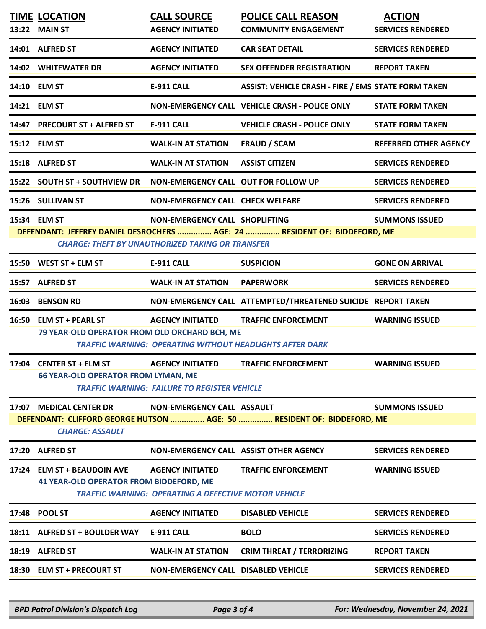|       | <b>TIME LOCATION</b><br>13:22 MAIN ST                                         | <b>CALL SOURCE</b><br><b>AGENCY INITIATED</b>                                             | <b>POLICE CALL REASON</b><br><b>COMMUNITY ENGAGEMENT</b>                                      | <b>ACTION</b><br><b>SERVICES RENDERED</b> |
|-------|-------------------------------------------------------------------------------|-------------------------------------------------------------------------------------------|-----------------------------------------------------------------------------------------------|-------------------------------------------|
|       | 14:01 ALFRED ST                                                               | <b>AGENCY INITIATED</b>                                                                   | <b>CAR SEAT DETAIL</b>                                                                        | <b>SERVICES RENDERED</b>                  |
|       | 14:02 WHITEWATER DR                                                           | <b>AGENCY INITIATED</b>                                                                   | <b>SEX OFFENDER REGISTRATION</b>                                                              | <b>REPORT TAKEN</b>                       |
|       | 14:10 ELM ST                                                                  | E-911 CALL                                                                                | <b>ASSIST: VEHICLE CRASH - FIRE / EMS STATE FORM TAKEN</b>                                    |                                           |
|       | 14:21 ELM ST                                                                  |                                                                                           | NON-EMERGENCY CALL VEHICLE CRASH - POLICE ONLY                                                | <b>STATE FORM TAKEN</b>                   |
|       | 14:47 PRECOURT ST + ALFRED ST                                                 | E-911 CALL                                                                                | <b>VEHICLE CRASH - POLICE ONLY</b>                                                            | <b>STATE FORM TAKEN</b>                   |
|       | 15:12 ELM ST                                                                  | <b>WALK-IN AT STATION</b>                                                                 | <b>FRAUD / SCAM</b>                                                                           | <b>REFERRED OTHER AGENCY</b>              |
|       | 15:18 ALFRED ST                                                               | <b>WALK-IN AT STATION</b>                                                                 | <b>ASSIST CITIZEN</b>                                                                         | <b>SERVICES RENDERED</b>                  |
|       | 15:22 SOUTH ST + SOUTHVIEW DR                                                 | NON-EMERGENCY CALL OUT FOR FOLLOW UP                                                      |                                                                                               | <b>SERVICES RENDERED</b>                  |
|       | 15:26 SULLIVAN ST                                                             | <b>NON-EMERGENCY CALL CHECK WELFARE</b>                                                   |                                                                                               | <b>SERVICES RENDERED</b>                  |
|       | 15:34 ELM ST                                                                  | NON-EMERGENCY CALL SHOPLIFTING<br><b>CHARGE: THEFT BY UNAUTHORIZED TAKING OR TRANSFER</b> | DEFENDANT: JEFFREY DANIEL DESROCHERS  AGE: 24  RESIDENT OF: BIDDEFORD, ME                     | <b>SUMMONS ISSUED</b>                     |
|       | 15:50 WEST ST + ELM ST                                                        | <b>E-911 CALL</b>                                                                         | <b>SUSPICION</b>                                                                              | <b>GONE ON ARRIVAL</b>                    |
|       | 15:57 ALFRED ST                                                               | <b>WALK-IN AT STATION</b>                                                                 | <b>PAPERWORK</b>                                                                              | <b>SERVICES RENDERED</b>                  |
|       |                                                                               |                                                                                           |                                                                                               |                                           |
|       | 16:03 BENSON RD                                                               |                                                                                           | NON-EMERGENCY CALL ATTEMPTED/THREATENED SUICIDE REPORT TAKEN                                  |                                           |
|       | 16:50 ELM ST + PEARL ST<br>79 YEAR-OLD OPERATOR FROM OLD ORCHARD BCH, ME      | <b>AGENCY INITIATED</b>                                                                   | <b>TRAFFIC ENFORCEMENT</b><br><b>TRAFFIC WARNING: OPERATING WITHOUT HEADLIGHTS AFTER DARK</b> | <b>WARNING ISSUED</b>                     |
|       | 17:04 CENTER ST + ELM ST<br><b>66 YEAR-OLD OPERATOR FROM LYMAN, ME</b>        | <b>AGENCY INITIATED</b><br><b>TRAFFIC WARNING: FAILURE TO REGISTER VEHICLE</b>            | <b>TRAFFIC ENFORCEMENT</b>                                                                    | <b>WARNING ISSUED</b>                     |
|       | 17:07 MEDICAL CENTER DR<br><b>CHARGE: ASSAULT</b>                             | NON-EMERGENCY CALL ASSAULT                                                                | DEFENDANT: CLIFFORD GEORGE HUTSON  AGE: 50  RESIDENT OF: BIDDEFORD, ME                        | <b>SUMMONS ISSUED</b>                     |
|       | 17:20 ALFRED ST                                                               | NON-EMERGENCY CALL ASSIST OTHER AGENCY                                                    |                                                                                               | <b>SERVICES RENDERED</b>                  |
|       | 17:24 ELM ST + BEAUDOIN AVE<br><b>41 YEAR-OLD OPERATOR FROM BIDDEFORD, ME</b> | <b>AGENCY INITIATED</b><br><b>TRAFFIC WARNING: OPERATING A DEFECTIVE MOTOR VEHICLE</b>    | <b>TRAFFIC ENFORCEMENT</b>                                                                    | <b>WARNING ISSUED</b>                     |
| 17:48 | <b>POOL ST</b>                                                                | <b>AGENCY INITIATED</b>                                                                   | <b>DISABLED VEHICLE</b>                                                                       | <b>SERVICES RENDERED</b>                  |
|       | 18:11 ALFRED ST + BOULDER WAY                                                 | <b>E-911 CALL</b>                                                                         | <b>BOLO</b>                                                                                   | <b>SERVICES RENDERED</b>                  |
| 18:19 | <b>ALFRED ST</b>                                                              | <b>WALK-IN AT STATION</b>                                                                 | <b>CRIM THREAT / TERRORIZING</b>                                                              | <b>REPORT TAKEN</b>                       |